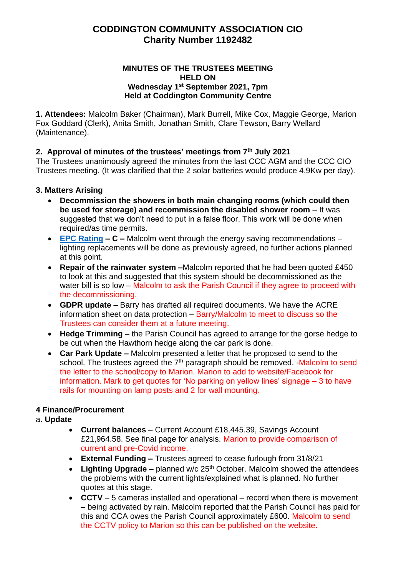# **CODDINGTON COMMUNITY ASSOCIATION CIO Charity Number 1192482**

#### **MINUTES OF THE TRUSTEES MEETING HELD ON Wednesday 1 st September 2021, 7pm Held at Coddington Community Centre**

**1. Attendees:** Malcolm Baker (Chairman), Mark Burrell, Mike Cox, Maggie George, Marion Fox Goddard (Clerk), Anita Smith, Jonathan Smith, Clare Tewson, Barry Wellard (Maintenance).

### **2. Approval of minutes of the trustees' meetings from 7 th July 2021**

The Trustees unanimously agreed the minutes from the last CCC AGM and the CCC CIO Trustees meeting. (It was clarified that the 2 solar batteries would produce 4.9Kw per day).

## **3. Matters Arising**

- **Decommission the showers in both main changing rooms (which could then be used for storage) and recommission the disabled shower room** – It was suggested that we don't need to put in a false floor. This work will be done when required/as time permits.
- **[EPC Rating](https://find-energy-certificate.digital.communities.gov.uk/energy-certificate/2866-6496-5730-5151-5410) – C –** Malcolm went through the energy saving recommendations lighting replacements will be done as previously agreed, no further actions planned at this point.
- **Repair of the rainwater system –**Malcolm reported that he had been quoted £450 to look at this and suggested that this system should be decommissioned as the water bill is so low – Malcolm to ask the Parish Council if they agree to proceed with the decommissioning.
- **GDPR update** Barry has drafted all required documents. We have the ACRE information sheet on data protection – Barry/Malcolm to meet to discuss so the Trustees can consider them at a future meeting.
- **Hedge Trimming –** the Parish Council has agreed to arrange for the gorse hedge to be cut when the Hawthorn hedge along the car park is done.
- **Car Park Update –** Malcolm presented a letter that he proposed to send to the school. The trustees agreed the 7<sup>th</sup> paragraph should be removed. -Malcolm to send the letter to the school/copy to Marion. Marion to add to website/Facebook for information. Mark to get quotes for 'No parking on yellow lines' signage – 3 to have rails for mounting on lamp posts and 2 for wall mounting.

### **4 Finance/Procurement**

### a. **Update**

- **Current balances** Current Account £18,445.39, Savings Account £21,964.58. See final page for analysis. Marion to provide comparison of current and pre-Covid income.
- **External Funding –** Trustees agreed to cease furlough from 31/8/21
- Lighting Upgrade planned w/c 25<sup>th</sup> October. Malcolm showed the attendees the problems with the current lights/explained what is planned. No further quotes at this stage.
- **CCTV**  5 cameras installed and operational record when there is movement – being activated by rain. Malcolm reported that the Parish Council has paid for this and CCA owes the Parish Council approximately £600. Malcolm to send the CCTV policy to Marion so this can be published on the website.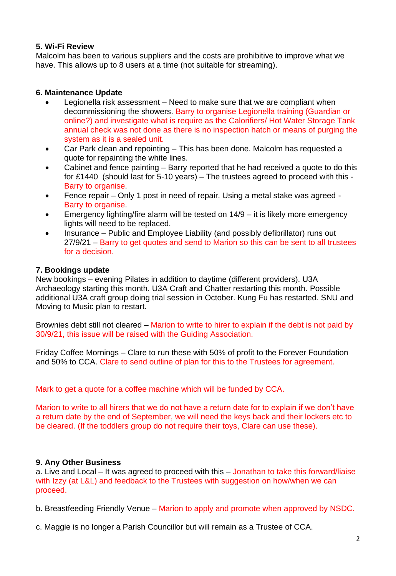### **5. Wi-Fi Review**

Malcolm has been to various suppliers and the costs are prohibitive to improve what we have. This allows up to 8 users at a time (not suitable for streaming).

### **6. Maintenance Update**

- Legionella risk assessment Need to make sure that we are compliant when decommissioning the showers. Barry to organise Legionella training (Guardian or online?) and investigate what is require as the Calorifiers/ Hot Water Storage Tank annual check was not done as there is no inspection hatch or means of purging the system as it is a sealed unit.
- Car Park clean and repointing This has been done. Malcolm has requested a quote for repainting the white lines.
- Cabinet and fence painting Barry reported that he had received a quote to do this for £1440 (should last for 5-10 years) – The trustees agreed to proceed with this - Barry to organise.
- Fence repair Only 1 post in need of repair. Using a metal stake was agreed Barry to organise.
- Emergency lighting/fire alarm will be tested on  $14/9 -$  it is likely more emergency lights will need to be replaced.
- Insurance Public and Employee Liability (and possibly defibrillator) runs out 27/9/21 – Barry to get quotes and send to Marion so this can be sent to all trustees for a decision.

#### **7. Bookings update**

New bookings – evening Pilates in addition to daytime (different providers). U3A Archaeology starting this month. U3A Craft and Chatter restarting this month. Possible additional U3A craft group doing trial session in October. Kung Fu has restarted. SNU and Moving to Music plan to restart.

Brownies debt still not cleared – Marion to write to hirer to explain if the debt is not paid by 30/9/21, this issue will be raised with the Guiding Association.

Friday Coffee Mornings – Clare to run these with 50% of profit to the Forever Foundation and 50% to CCA. Clare to send outline of plan for this to the Trustees for agreement.

Mark to get a quote for a coffee machine which will be funded by CCA.

Marion to write to all hirers that we do not have a return date for to explain if we don't have a return date by the end of September, we will need the keys back and their lockers etc to be cleared. (If the toddlers group do not require their toys, Clare can use these).

### **9. Any Other Business**

a. Live and Local – It was agreed to proceed with this – Jonathan to take this forward/liaise with Izzy (at L&L) and feedback to the Trustees with suggestion on how/when we can proceed.

b. Breastfeeding Friendly Venue – Marion to apply and promote when approved by NSDC.

c. Maggie is no longer a Parish Councillor but will remain as a Trustee of CCA.